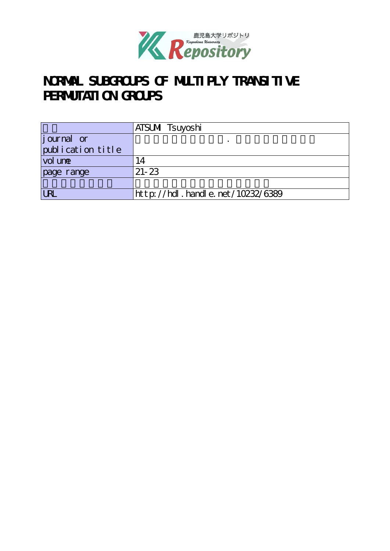

# NORMAL SUBGROUPS OF MULTIPLY TRANSITIVE **PERMUTATION GROUPS**

|                   | ATSUMI Tsuyoshi                  |
|-------------------|----------------------------------|
| journal or        |                                  |
| publication title |                                  |
| vol une           | '4                               |
| page range        | $21 - 23$                        |
|                   |                                  |
| <b>LRI</b>        | http://hdl.handle.net/10232/6389 |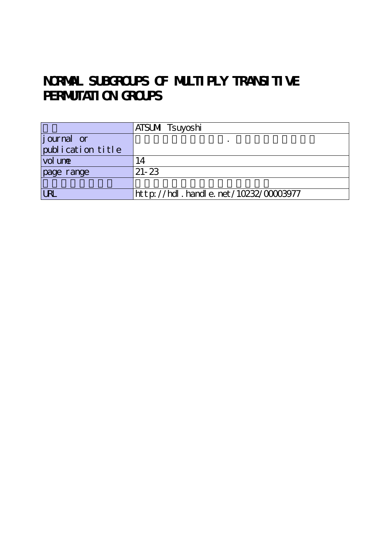# NORMAL SUBGROUPS OF MULTIPLY TRANSITIVE **PERMUTATION GROUPS**

|                    | ATSUMI Tsuyoshi                      |
|--------------------|--------------------------------------|
| <i>j</i> ournal or |                                      |
| publication title  |                                      |
| vol une            | $\overline{A}$                       |
| page range         | $21 - 23$                            |
|                    |                                      |
| <b>LRL</b>         | http://hdl.handle.net/10232/00003977 |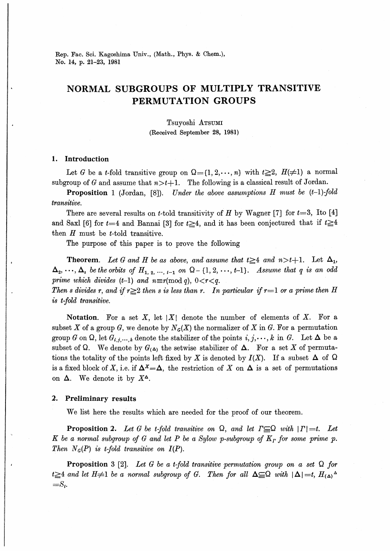Rep. Fac. Sci. Kagoshima Univ., (Math., Phys. & Chem.), No. 14, p. 21-23, 1981

### NORMAL SUBGROUPS OF MULTIPLY TRANSITIVE PERMUTATION GROUPS

Tsuyoshi Arsumi (Received September 28, 1981)

### 1. Introduction

is t-fold transitive.

Let G be a t-fold transitive group on  $\Omega = \{1, 2, \dots, n\}$  with  $t \geq 2$ ,  $H(\neq 1)$  a normal subgroup of G and assume that  $n>t+1$ . The following is a classical result of Jordan.

**Proposition** 1 (Jordan, [8]). Under the above assumptions H must be  $(t-1)$ -fold transitive.

There are several results on t-told transitivity of H by Wagner [7] for  $t=3$ , Ito [4] and Saxl [6] for  $t=4$  and Bannai [3] for  $t\geq 4$ , and it has been conjectured that if  $t\geq 4$ then  $H$  must be  $t$ -told transitive.

The purpose of this paper is to prove the following

**Theorem.** Let G and H be as above, and assume that  $t \geq 4$  and  $n > t+1$ . Let  $\Delta_1$ ,  $\Delta_2, \ldots, \Delta_s$  be the orbits of  $H_{1,2,\ldots,+1}$  on  $\Omega - \{1,2,\ldots,+1\}$ . Assume that q is an odd prime which divides (t-1) and  $n \equiv r \pmod{q}$ , 0<r<q. Then s divides r, and if  $r\geq 2$  then s is less than r. In particular if  $r=1$  or a prime then H

Notation. For a set X, let  $|X|$  denote the number of elements of X. For a subset X of a group G, we denote by  $N_G(X)$  the normalizer of X in G. For a permutation group G on  $\Omega$ , let  $G_{i,j,\dots,k}$  denote the stabilizer of the points  $i,j,\dots,k$  in G. Let  $\Delta$  be a subset of Q. We denote by  $G_{(\Delta)}$  the setwise stabilizer of  $\Delta$ . For a set X of permutations the totality of the points left fixed by X is denoted by  $I(X)$ . If a subset  $\Delta$  of  $\Omega$ is a fixed block of X, i.e. if  $\Delta^x = \Delta$ , the restriction of X on  $\Delta$  is a set of permutations on  $\Delta$ . We denote it by  $X^{\Delta}$ .

#### 2. Preliminary results

We list here the results which are needed for the proof of our theorem.

**Proposition 2.** Let G be t-fold transitive on  $\Omega$ , and let  $\Gamma \subseteq \Omega$  with  $|\Gamma|=t$ . Let K be a normal subgroup of G and let P be a Sylow p-subgroup of  $K_r$  for some prime p. Then  $N_G(P)$  is t-fold transitive on  $I(P)$ .

**Proposition** 3 [2]. Let G be a t-fold transitive permutation group on a set  $\Omega$  for  $t \geq 4$  and let H≠1 be a normal subgroup of G. Then for all  $\Delta \subseteq \Omega$  with  $|\Delta|=t$ ,  $H_{(\Delta)}^{\Delta}$  $=S_t$ .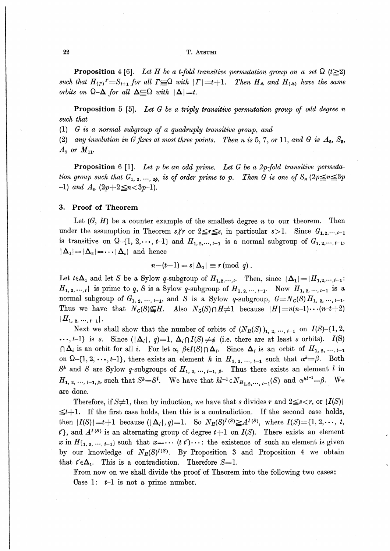#### T. ATSUMI

**Proposition** 4 [6]. Let H be a t-fold transitive permutation group on a set  $\Omega$  (t $\geq 2$ ) such that  $H_{(r)}^r = S_{t+1}$  for all  $\Gamma \subseteq \Omega$  with  $|\Gamma| = t+1$ . Then  $H_{\Delta}$  and  $H_{(\Delta)}$  have the same orbits on  $\Omega-\Delta$  for all  $\Delta \subseteq \Omega$  with  $|\Delta|=t$ .

**Proposition** 5 [5]. Let G be a triply transitive permutation group of odd degree n such that

 $(1)$  G is a normal subgroup of a quadruply transitive group, and

(2) any involution in G fixes at most three points. Then n is 5, 7, or 11, and G is  $A_5$ ,  $S_5$ ,  $A_7$  or  $M_{11}$ .

**Proposition** 6 [1]. Let p be an odd prime. Let G be a 2p-fold transitive permutation group such that  $G_1$ , 2, ..., 2p, is of order prime to p. Then G is one of  $S_n$   $(2p \leq n \leq 3p)$  $-1)$  and  $A_n$   $(2p+2 \leq n < 3p-1)$ .

#### **Proof of Theorem** 3.

Let  $(G, H)$  be a counter example of the smallest degree *n* to our theorem. Then under the assumption in Theorem s/r or  $2 \leq r \leq s$ , in particular  $s > 1$ . Since  $G_{1,2,\dots,t-1}$ is transitive on  $\Omega$ -{1, 2, ..., t-1} and  $H_{1, 2, \dots, t-1}$  is a normal subgroup of  $G_{1, 2, \dots, t-1}$ ,  $|\Delta_1| = |\Delta_2| = \cdots |\Delta_s|$  and hence

$$
n-(t-1)=s|\Delta_1|\equiv r\,(\mathrm{mod}\,q).
$$

Let  $t \in \Delta_1$  and let S be a Sylow q-subgroup of  $H_{1,2,\dots,i}$ . Then, since  $|\Delta_1| = |H_{1,2,\dots,i-1}$ .  $H_{1,2,\dots, l}$  is prime to q, S is a Sylow q-subgroup of  $H_{1,2,\dots, l-1}$ . Now  $H_{1,2,\dots, l-1}$  is a normal subgroup of  $G_1$ , 2, ...,  $i-1$ , and S is a Sylow q-subgroup,  $G = N_G(S) H_1$ , 2, ...,  $i-1$ . Thus we have that  $N_G(S) \subseteq H$ . Also  $N_G(S) \cap H \neq 1$  because  $|H| = n(n-1)\cdots(n-t+2)$  $|H_{1,2},...,_{t-1}|.$ 

Next we shall show that the number of orbits of  $(N_H(S))_{1,2,\dots, l-1}$  on  $I(S)$ -{1, 2,  $\cdots$ , t-1) is s. Since  $(|\Delta_i|, q)=1$ ,  $\Delta_i \cap I(S) \neq \emptyset$  (i.e. there are at least s orbits).  $I(S)$  $\bigcap \Delta_i$  is an orbit for all i. For let  $\alpha$ ,  $\beta \in I(S) \cap \Delta_i$ . Since  $\Delta_i$  is an orbit of  $H_{1,2}, \dots, I_{-1}$ on  $\Omega$ -{1, 2, ..., t-1}, there exists an element h in  $H_{1, 2, ..., t-1}$  such that  $\alpha^{h} = \beta$ . Both  $S^h$  and S are Sylow q-subgroups of  $H_{1,2, \dots, t-1, \beta}$ . Thus there exists an element l in  $H_{1, 2, ..., t-1, \beta}$ , such that  $S^k = S^l$ . We have that  $hl^{-1} \in N_{H_{1, 2, ..., t-1}}(S)$  and  $\alpha^{hl^{-1}} = \beta$ . We are done.

Therefore, if S $\neq$ 1, then by induction, we have that s divides r and  $2 \leq s \lt r$ , or  $|I(S)|$  $\leq t+1$ . If the first case holds, then this is a contradiction. If the second case holds, then  $|I(S)| = t+1$  because  $(|\Delta_i|, q) = 1$ . So  $N_H(S)^{I(S)} \ge A^{I(S)}$ , where  $I(S) = \{1, 2, \dots, t\}$  $t'$ , and  $A^{I(S)}$  is an alternating group of degree  $t+1$  on  $I(S)$ . There exists an element x in  $H_{\{1, 2, \dots, t-1\}}$  such that  $x = \dots (t t') \dots$ : the existence of such an element is given by our knowledge of  $N_H(S)^{I(S)}$ . By Proposition 3 and Proposition 4 we obtain that  $t' \in \Delta_1$ . This is a contradiction. Therefore S=1.

From now on we shall divide the proof of Theorem into the following two cases: Case 1:  $t-1$  is not a prime number.